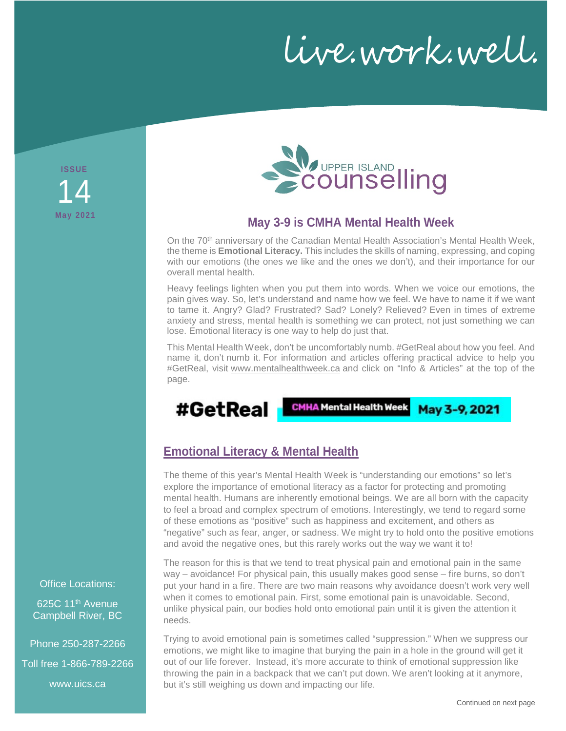live.work.well.

**ISSUE May 2021** 14



## **May 3-9 is CMHA Mental Health Week**

On the 70<sup>th</sup> anniversary of the Canadian Mental Health Association's Mental Health Week, the theme is **Emotional Literacy.** This includes the skills of naming, expressing, and coping with our emotions (the ones we like and the ones we don't), and their importance for our overall mental health.

Heavy feelings lighten when you put them into words. When we voice our emotions, the pain gives way. So, let's understand and name how we feel. We have to name it if we want to tame it. Angry? Glad? Frustrated? Sad? Lonely? Relieved? Even in times of extreme anxiety and stress, mental health is something we can protect, not just something we can lose. Emotional literacy is one way to help do just that.

This Mental Health Week, don't be uncomfortably numb. #GetReal about how you feel. And name it, don't numb it. For information and articles offering practical advice to help you #GetReal, visit [www.mentalhealthweek.ca](http://www.mentalhealthweek.ca/) and click on "Info & Articles" at the top of the page.

#GetReal

CMHA Mental Health Week

May 3-9, 2021

# **Emotional Literacy & Mental Health**

The theme of this year's Mental Health Week is "understanding our emotions" so let's explore the importance of emotional literacy as a factor for protecting and promoting mental health. Humans are inherently emotional beings. We are all born with the capacity to feel a broad and complex spectrum of emotions. Interestingly, we tend to regard some of these emotions as "positive" such as happiness and excitement, and others as "negative" such as fear, anger, or sadness. We might try to hold onto the positive emotions and avoid the negative ones, but this rarely works out the way we want it to!

The reason for this is that we tend to treat physical pain and emotional pain in the same way – avoidance! For physical pain, this usually makes good sense – fire burns, so don't put your hand in a fire. There are two main reasons why avoidance doesn't work very well when it comes to emotional pain. First, some emotional pain is unavoidable. Second, unlike physical pain, our bodies hold onto emotional pain until it is given the attention it needs.

Trying to avoid emotional pain is sometimes called "suppression." When we suppress our emotions, we might like to imagine that burying the pain in a hole in the ground will get it out of our life forever. Instead, it's more accurate to think of emotional suppression like throwing the pain in a backpack that we can't put down. We aren't looking at it anymore, but it's still weighing us down and impacting our life.

Office Locations:

625C 11<sup>th</sup> Avenue Campbell River, BC

Phone 250-287-2266 Toll free 1-866-789-2266

www.uics.ca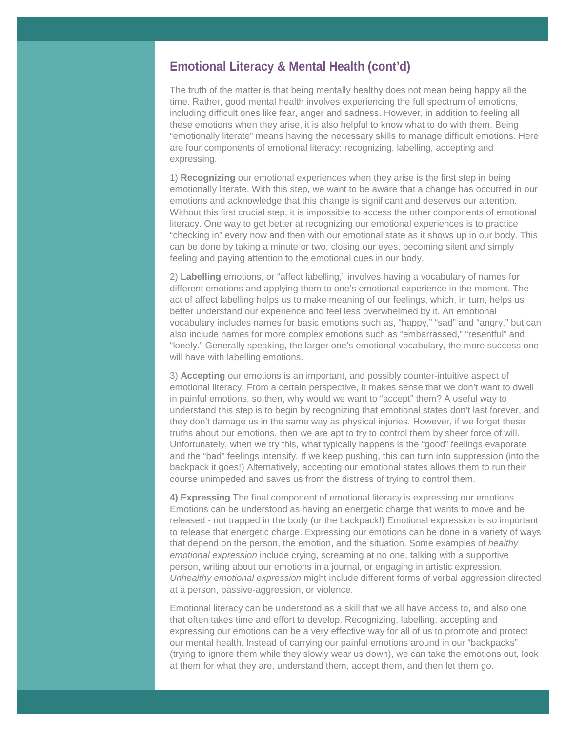### **Emotional Literacy & Mental Health (cont'd)**

The truth of the matter is that being mentally healthy does not mean being happy all the time. Rather, good mental health involves experiencing the full spectrum of emotions, including difficult ones like fear, anger and sadness. However, in addition to feeling all these emotions when they arise, it is also helpful to know what to do with them. Being "emotionally literate" means having the necessary skills to manage difficult emotions. Here are four components of emotional literacy: recognizing, labelling, accepting and expressing.

1) **Recognizing** our emotional experiences when they arise is the first step in being emotionally literate. With this step, we want to be aware that a change has occurred in our emotions and acknowledge that this change is significant and deserves our attention. Without this first crucial step, it is impossible to access the other components of emotional literacy. One way to get better at recognizing our emotional experiences is to practice "checking in" every now and then with our emotional state as it shows up in our body. This can be done by taking a minute or two, closing our eyes, becoming silent and simply feeling and paying attention to the emotional cues in our body.

2) **Labelling** emotions, or "affect labelling," involves having a vocabulary of names for different emotions and applying them to one's emotional experience in the moment. The act of affect labelling helps us to make meaning of our feelings, which, in turn, helps us better understand our experience and feel less overwhelmed by it. An emotional vocabulary includes names for basic emotions such as, "happy," "sad" and "angry," but can also include names for more complex emotions such as "embarrassed," "resentful" and "lonely." Generally speaking, the larger one's emotional vocabulary, the more success one will have with labelling emotions.

3) **Accepting** our emotions is an important, and possibly counter-intuitive aspect of emotional literacy. From a certain perspective, it makes sense that we don't want to dwell in painful emotions, so then, why would we want to "accept" them? A useful way to understand this step is to begin by recognizing that emotional states don't last forever, and they don't damage us in the same way as physical injuries. However, if we forget these truths about our emotions, then we are apt to try to control them by sheer force of will. Unfortunately, when we try this, what typically happens is the "good" feelings evaporate and the "bad" feelings intensify. If we keep pushing, this can turn into suppression (into the backpack it goes!) Alternatively, accepting our emotional states allows them to run their course unimpeded and saves us from the distress of trying to control them.

**4) Expressing** The final component of emotional literacy is expressing our emotions. Emotions can be understood as having an energetic charge that wants to move and be released - not trapped in the body (or the backpack!) Emotional expression is so important to release that energetic charge. Expressing our emotions can be done in a variety of ways that depend on the person, the emotion, and the situation. Some examples of *healthy emotional expression* include crying, screaming at no one, talking with a supportive person, writing about our emotions in a journal, or engaging in artistic expression. *Unhealthy emotional expression* might include different forms of verbal aggression directed at a person, passive-aggression, or violence.

Emotional literacy can be understood as a skill that we all have access to, and also one that often takes time and effort to develop. Recognizing, labelling, accepting and expressing our emotions can be a very effective way for all of us to promote and protect our mental health. Instead of carrying our painful emotions around in our "backpacks" (trying to ignore them while they slowly wear us down), we can take the emotions out, look at them for what they are, understand them, accept them, and then let them go.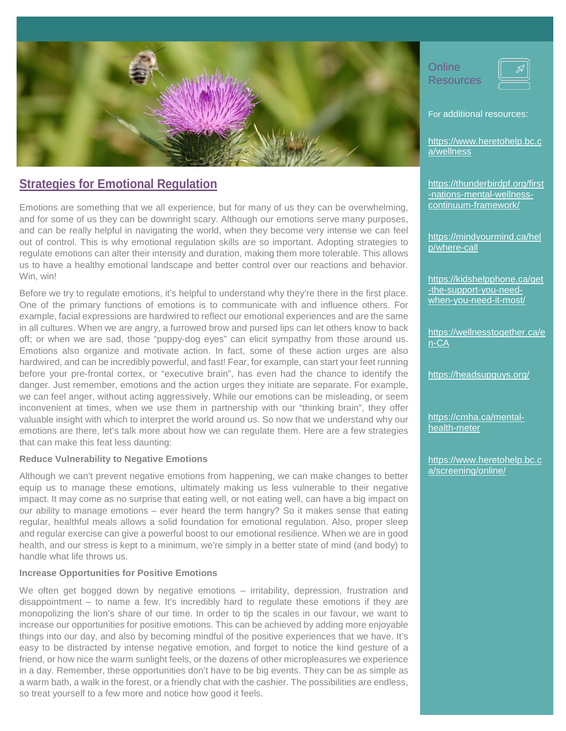

## **Strategies for Emotional Regulation**

Emotions are something that we all experience, but for many of us they can be overwhelming, and for some of us they can be downright scary. Although our emotions serve many purposes, and can be really helpful in navigating the world, when they become very intense we can feel out of control. This is why emotional regulation skills are so important. Adopting strategies to regulate emotions can alter their intensity and duration, making them more tolerable. This allows us to have a healthy emotional landscape and better control over our reactions and behavior. Win, win!

Before we try to regulate emotions, it's helpful to understand why they're there in the first place. One of the primary functions of emotions is to communicate with and influence others. For example, facial expressions are hardwired to reflect our emotional experiences and are the same in all cultures. When we are angry, a furrowed brow and pursed lips can let others know to back off; or when we are sad, those "puppy-dog eyes" can elicit sympathy from those around us. Emotions also organize and motivate action. In fact, some of these action urges are also hardwired, and can be incredibly powerful, and fast! Fear, for example, can start your feet running before your pre-frontal cortex, or "executive brain", has even had the chance to identify the danger. Just remember, emotions and the action urges they initiate are separate. For example, we can feel anger, without acting aggressively. While our emotions can be misleading, or seem inconvenient at times, when we use them in partnership with our "thinking brain", they offer valuable insight with which to interpret the world around us. So now that we understand why our emotions are there, let's talk more about how we can regulate them. Here are a few strategies that can make this feat less daunting:

### **Reduce Vulnerability to Negative Emotions**

Although we can't prevent negative emotions from happening, we can make changes to better equip us to manage these emotions, ultimately making us less vulnerable to their negative impact. It may come as no surprise that eating well, or not eating well, can have a big impact on our ability to manage emotions – ever heard the term hangry? So it makes sense that eating regular, healthful meals allows a solid foundation for emotional regulation. Also, proper sleep and regular exercise can give a powerful boost to our emotional resilience. When we are in good health, and our stress is kept to a minimum, we're simply in a better state of mind (and body) to handle what life throws us.

### **Increase Opportunities for Positive Emotions**

We often get bogged down by negative emotions – irritability, depression, frustration and disappointment – to name a few. It's incredibly hard to regulate these emotions if they are monopolizing the lion's share of our time. In order to tip the scales in our favour, we want to increase our opportunities for positive emotions. This can be achieved by adding more enjoyable things into our day, and also by becoming mindful of the positive experiences that we have. It's easy to be distracted by intense negative emotion, and forget to notice the kind gesture of a friend, or how nice the warm sunlight feels, or the dozens of other micropleasures we experience in a day. Remember, these opportunities don't have to be big events. They can be as simple as a warm bath, a walk in the forest, or a friendly chat with the cashier. The possibilities are endless, so treat yourself to a few more and notice how good it feels.

**Online Resources** 

For additional resources:

[https://www.heretohelp.bc.c](https://www.heretohelp.bc.ca/wellness) [a/wellness](https://www.heretohelp.bc.ca/wellness)

[https://thunderbirdpf.org/first](https://thunderbirdpf.org/first-nations-mental-wellness-continuum-framework/) [-nations-mental-wellness](https://thunderbirdpf.org/first-nations-mental-wellness-continuum-framework/)[continuum-framework/](https://thunderbirdpf.org/first-nations-mental-wellness-continuum-framework/)

[https://mindyourmind.ca/hel](https://mindyourmind.ca/help/where-call) [p/where-call](https://mindyourmind.ca/help/where-call)

[https://kidshelpphone.ca/get](https://kidshelpphone.ca/get-the-support-you-need-when-you-need-it-most/) [-the-support-you-need](https://kidshelpphone.ca/get-the-support-you-need-when-you-need-it-most/)[when-you-need-it-most/](https://kidshelpphone.ca/get-the-support-you-need-when-you-need-it-most/)

[https://wellnesstogether.ca/e](https://wellnesstogether.ca/en-CA) [n-CA](https://wellnesstogether.ca/en-CA)

<https://headsupguys.org/>

[https://cmha.ca/mental](https://cmha.ca/mental-health-meter)[health-meter](https://cmha.ca/mental-health-meter)

[https://www.heretohelp.bc.c](https://www.heretohelp.bc.ca/screening/online/) [a/screening/online/](https://www.heretohelp.bc.ca/screening/online/)